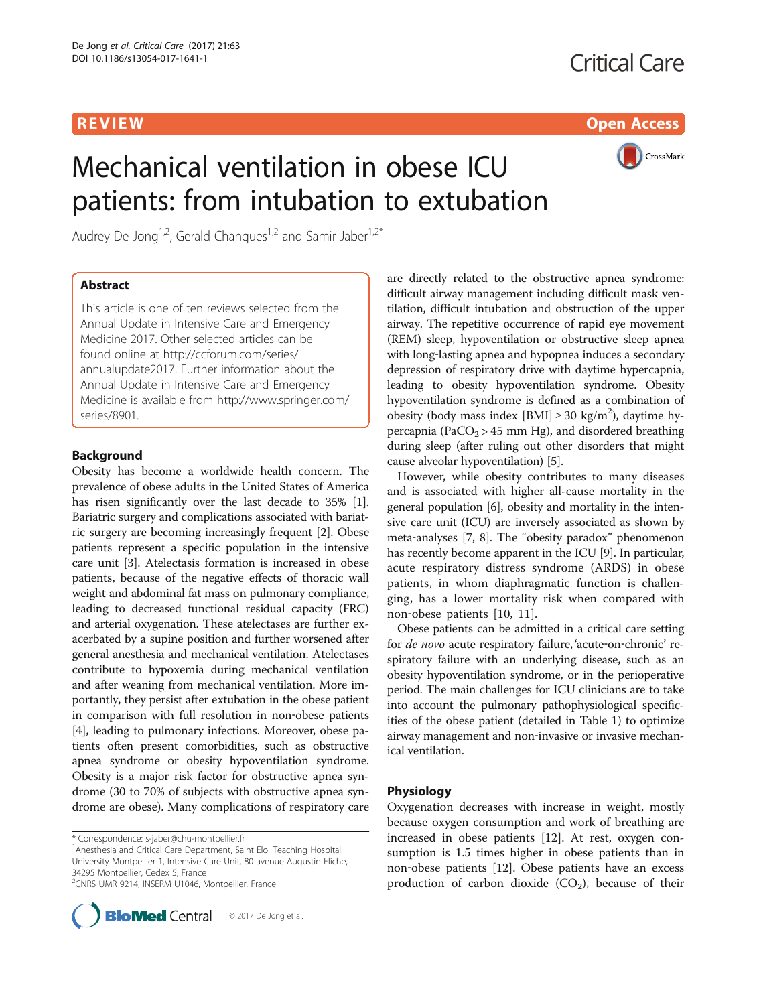R EVI EW Open Access

CrossMark

# Mechanical ventilation in obese ICU patients: from intubation to extubation

Audrey De Jong<sup>1,2</sup>, Gerald Chanques<sup>1,2</sup> and Samir Jaber<sup>1,2\*</sup>

# Abstract

This article is one of ten reviews selected from the Annual Update in Intensive Care and Emergency Medicine 2017. Other selected articles can be found online at [http://ccforum.com/series/](http://ccforum.com/series/annualupdate2017) [annualupdate2017.](http://ccforum.com/series/annualupdate2017) Further information about the Annual Update in Intensive Care and Emergency Medicine is available from [http://www.springer.com/](http://www.springer.com/series/8901) [series/8901.](http://www.springer.com/series/8901)

# Background

Obesity has become a worldwide health concern. The prevalence of obese adults in the United States of America has risen significantly over the last decade to 35% [[1](#page-6-0)]. Bariatric surgery and complications associated with bariatric surgery are becoming increasingly frequent [\[2](#page-6-0)]. Obese patients represent a specific population in the intensive care unit [\[3](#page-6-0)]. Atelectasis formation is increased in obese patients, because of the negative effects of thoracic wall weight and abdominal fat mass on pulmonary compliance, leading to decreased functional residual capacity (FRC) and arterial oxygenation. These atelectases are further exacerbated by a supine position and further worsened after general anesthesia and mechanical ventilation. Atelectases contribute to hypoxemia during mechanical ventilation and after weaning from mechanical ventilation. More importantly, they persist after extubation in the obese patient in comparison with full resolution in non-obese patients [[4\]](#page-6-0), leading to pulmonary infections. Moreover, obese patients often present comorbidities, such as obstructive apnea syndrome or obesity hypoventilation syndrome. Obesity is a major risk factor for obstructive apnea syndrome (30 to 70% of subjects with obstructive apnea syndrome are obese). Many complications of respiratory care

<sup>1</sup> Anesthesia and Critical Care Department, Saint Eloi Teaching Hospital, University Montpellier 1, Intensive Care Unit, 80 avenue Augustin Fliche, 34295 Montpellier, Cedex 5, France <sup>2</sup>CNRS UMR 9214, INSERM U1046, Montpellier, France



are directly related to the obstructive apnea syndrome: difficult airway management including difficult mask ventilation, difficult intubation and obstruction of the upper airway. The repetitive occurrence of rapid eye movement (REM) sleep, hypoventilation or obstructive sleep apnea with long-lasting apnea and hypopnea induces a secondary depression of respiratory drive with daytime hypercapnia, leading to obesity hypoventilation syndrome. Obesity hypoventilation syndrome is defined as a combination of obesity (body mass index [BMI]  $\geq$  30 kg/m<sup>2</sup>), daytime hypercapnia ( $PaCO<sub>2</sub> > 45$  mm Hg), and disordered breathing during sleep (after ruling out other disorders that might cause alveolar hypoventilation) [\[5](#page-6-0)].

However, while obesity contributes to many diseases and is associated with higher all-cause mortality in the general population [\[6](#page-6-0)], obesity and mortality in the intensive care unit (ICU) are inversely associated as shown by meta-analyses [[7, 8](#page-6-0)]. The "obesity paradox" phenomenon has recently become apparent in the ICU [\[9\]](#page-6-0). In particular, acute respiratory distress syndrome (ARDS) in obese patients, in whom diaphragmatic function is challenging, has a lower mortality risk when compared with non‐obese patients [[10](#page-6-0), [11\]](#page-6-0).

Obese patients can be admitted in a critical care setting for *de novo* acute respiratory failure, 'acute-on-chronic' respiratory failure with an underlying disease, such as an obesity hypoventilation syndrome, or in the perioperative period. The main challenges for ICU clinicians are to take into account the pulmonary pathophysiological specificities of the obese patient (detailed in Table [1](#page-1-0)) to optimize airway management and non‐invasive or invasive mechanical ventilation.

# Physiology

Oxygenation decreases with increase in weight, mostly because oxygen consumption and work of breathing are increased in obese patients [[12\]](#page-6-0). At rest, oxygen consumption is 1.5 times higher in obese patients than in non‐obese patients [[12](#page-6-0)]. Obese patients have an excess production of carbon dioxide  $(CO_2)$ , because of their

<sup>\*</sup> Correspondence: [s-jaber@chu-montpellier.fr](mailto:s-jaber@chu-montpellier.fr) <sup>1</sup>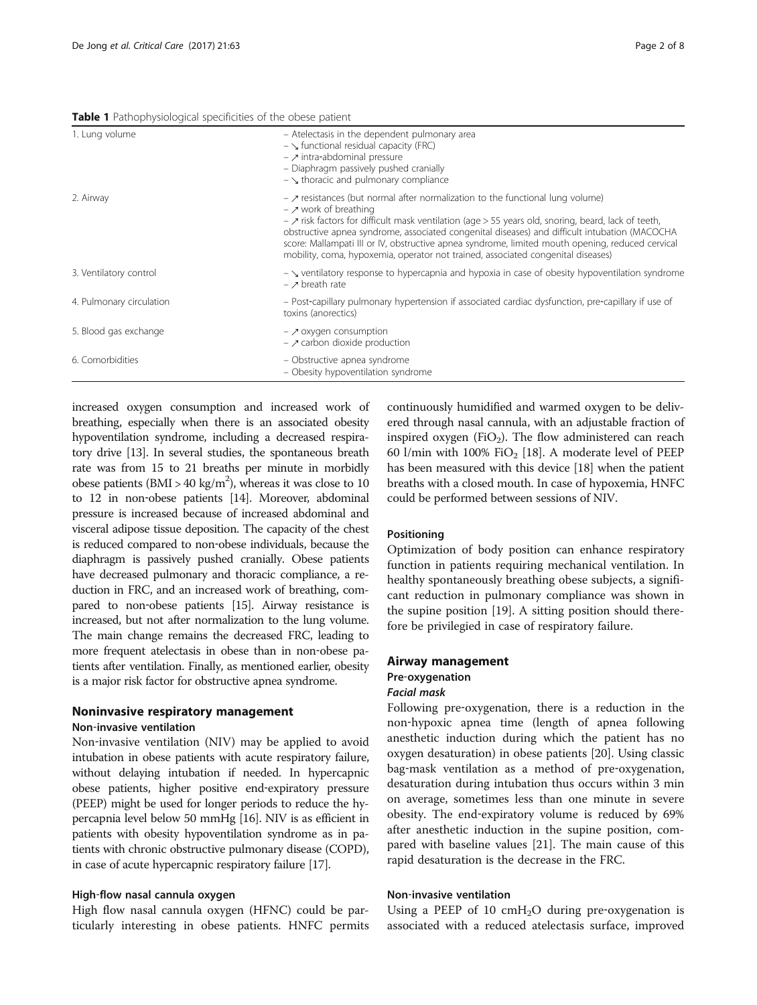<span id="page-1-0"></span>Table 1 Pathophysiological specificities of the obese patient

| 1. Lung volume           | - Atelectasis in the dependent pulmonary area<br>$-$ functional residual capacity (FRC)<br>$ \lambda$ intra-abdominal pressure<br>- Diaphragm passively pushed cranially<br>$-\sqrt{ }$ thoracic and pulmonary compliance                                                                                                                                                                                                                                                                                                    |
|--------------------------|------------------------------------------------------------------------------------------------------------------------------------------------------------------------------------------------------------------------------------------------------------------------------------------------------------------------------------------------------------------------------------------------------------------------------------------------------------------------------------------------------------------------------|
| 2. Airway                | $ \lambda$ resistances (but normal after normalization to the functional lung volume)<br>$ \lambda$ work of breathing<br>$ \lambda$ risk factors for difficult mask ventilation (age > 55 years old, snoring, beard, lack of teeth,<br>obstructive apnea syndrome, associated congenital diseases) and difficult intubation (MACOCHA<br>score: Mallampati III or IV, obstructive apnea syndrome, limited mouth opening, reduced cervical<br>mobility, coma, hypoxemia, operator not trained, associated congenital diseases) |
| 3. Ventilatory control   | $-\sqrt{ }$ ventilatory response to hypercapnia and hypoxia in case of obesity hypoventilation syndrome<br>$ \lambda$ breath rate                                                                                                                                                                                                                                                                                                                                                                                            |
| 4. Pulmonary circulation | - Post-capillary pulmonary hypertension if associated cardiac dysfunction, pre-capillary if use of<br>toxins (anorectics)                                                                                                                                                                                                                                                                                                                                                                                                    |
| 5. Blood gas exchange    | $ \lambda$ oxygen consumption<br>$ \lambda$ carbon dioxide production                                                                                                                                                                                                                                                                                                                                                                                                                                                        |
| 6. Comorbidities         | - Obstructive apnea syndrome<br>- Obesity hypoventilation syndrome                                                                                                                                                                                                                                                                                                                                                                                                                                                           |

increased oxygen consumption and increased work of breathing, especially when there is an associated obesity hypoventilation syndrome, including a decreased respiratory drive [\[13\]](#page-6-0). In several studies, the spontaneous breath rate was from 15 to 21 breaths per minute in morbidly obese patients (BMI > 40 kg/m<sup>2</sup>), whereas it was close to 10 to 12 in non-obese patients [[14](#page-6-0)]. Moreover, abdominal pressure is increased because of increased abdominal and visceral adipose tissue deposition. The capacity of the chest is reduced compared to non‐obese individuals, because the diaphragm is passively pushed cranially. Obese patients have decreased pulmonary and thoracic compliance, a reduction in FRC, and an increased work of breathing, com-pared to non-obese patients [\[15\]](#page-6-0). Airway resistance is increased, but not after normalization to the lung volume. The main change remains the decreased FRC, leading to more frequent atelectasis in obese than in non-obese patients after ventilation. Finally, as mentioned earlier, obesity is a major risk factor for obstructive apnea syndrome.

# Noninvasive respiratory management Non‐invasive ventilation

Non‐invasive ventilation (NIV) may be applied to avoid intubation in obese patients with acute respiratory failure, without delaying intubation if needed. In hypercapnic obese patients, higher positive end‐expiratory pressure (PEEP) might be used for longer periods to reduce the hypercapnia level below 50 mmHg [\[16\]](#page-6-0). NIV is as efficient in patients with obesity hypoventilation syndrome as in patients with chronic obstructive pulmonary disease (COPD), in case of acute hypercapnic respiratory failure [[17](#page-6-0)].

# High‐flow nasal cannula oxygen

High flow nasal cannula oxygen (HFNC) could be particularly interesting in obese patients. HNFC permits

continuously humidified and warmed oxygen to be delivered through nasal cannula, with an adjustable fraction of inspired oxygen (FiO<sub>2</sub>). The flow administered can reach 60 l/min with 100%  $FiO<sub>2</sub>$  [\[18\]](#page-6-0). A moderate level of PEEP has been measured with this device [[18](#page-6-0)] when the patient breaths with a closed mouth. In case of hypoxemia, HNFC could be performed between sessions of NIV.

# Positioning

Optimization of body position can enhance respiratory function in patients requiring mechanical ventilation. In healthy spontaneously breathing obese subjects, a significant reduction in pulmonary compliance was shown in the supine position [\[19\]](#page-6-0). A sitting position should therefore be privilegied in case of respiratory failure.

# Airway management Pre‐oxygenation

# Facial mask

Following pre‐oxygenation, there is a reduction in the non‐hypoxic apnea time (length of apnea following anesthetic induction during which the patient has no oxygen desaturation) in obese patients [\[20\]](#page-6-0). Using classic bag-mask ventilation as a method of pre-oxygenation, desaturation during intubation thus occurs within 3 min on average, sometimes less than one minute in severe obesity. The end‐expiratory volume is reduced by 69% after anesthetic induction in the supine position, compared with baseline values [\[21\]](#page-6-0). The main cause of this rapid desaturation is the decrease in the FRC.

# Non‐invasive ventilation

Using a PEEP of 10  $\text{cm}H_2\text{O}$  during pre-oxygenation is associated with a reduced atelectasis surface, improved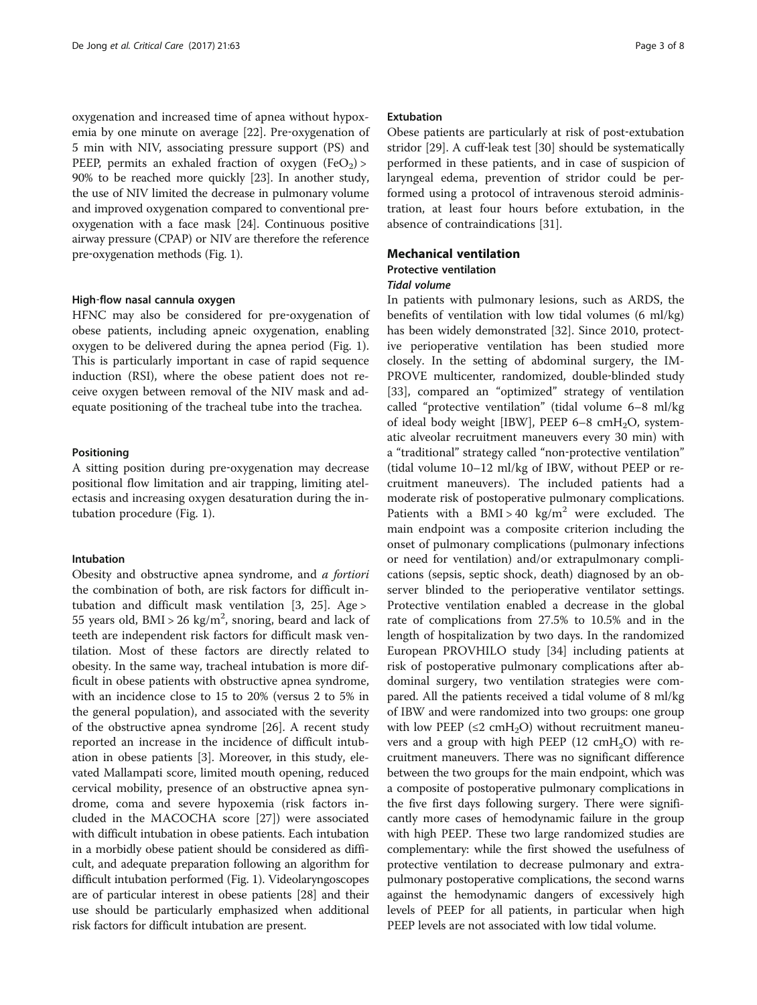oxygenation and increased time of apnea without hypoxemia by one minute on average [\[22](#page-6-0)]. Pre‐oxygenation of 5 min with NIV, associating pressure support (PS) and PEEP, permits an exhaled fraction of oxygen  $(FeO<sub>2</sub>) >$ 90% to be reached more quickly [\[23\]](#page-6-0). In another study, the use of NIV limited the decrease in pulmonary volume and improved oxygenation compared to conventional pre‐ oxygenation with a face mask [\[24\]](#page-6-0). Continuous positive airway pressure (CPAP) or NIV are therefore the reference pre‐oxygenation methods (Fig. [1\)](#page-3-0).

#### High‐flow nasal cannula oxygen

HFNC may also be considered for pre-oxygenation of obese patients, including apneic oxygenation, enabling oxygen to be delivered during the apnea period (Fig. [1](#page-3-0)). This is particularly important in case of rapid sequence induction (RSI), where the obese patient does not receive oxygen between removal of the NIV mask and adequate positioning of the tracheal tube into the trachea.

## Positioning

A sitting position during pre‐oxygenation may decrease positional flow limitation and air trapping, limiting atelectasis and increasing oxygen desaturation during the intubation procedure (Fig. [1\)](#page-3-0).

#### Intubation

Obesity and obstructive apnea syndrome, and a fortiori the combination of both, are risk factors for difficult intubation and difficult mask ventilation [\[3](#page-6-0), [25\]](#page-6-0). Age > 55 years old,  $BMI > 26$  kg/m<sup>2</sup>, snoring, beard and lack of teeth are independent risk factors for difficult mask ventilation. Most of these factors are directly related to obesity. In the same way, tracheal intubation is more difficult in obese patients with obstructive apnea syndrome, with an incidence close to 15 to 20% (versus 2 to 5% in the general population), and associated with the severity of the obstructive apnea syndrome [\[26](#page-6-0)]. A recent study reported an increase in the incidence of difficult intubation in obese patients [\[3](#page-6-0)]. Moreover, in this study, elevated Mallampati score, limited mouth opening, reduced cervical mobility, presence of an obstructive apnea syndrome, coma and severe hypoxemia (risk factors included in the MACOCHA score [\[27](#page-6-0)]) were associated with difficult intubation in obese patients. Each intubation in a morbidly obese patient should be considered as difficult, and adequate preparation following an algorithm for difficult intubation performed (Fig. [1](#page-3-0)). Videolaryngoscopes are of particular interest in obese patients [[28](#page-6-0)] and their use should be particularly emphasized when additional risk factors for difficult intubation are present.

#### Extubation

Obese patients are particularly at risk of post‐extubation stridor [[29\]](#page-6-0). A cuff-leak test [[30\]](#page-6-0) should be systematically performed in these patients, and in case of suspicion of laryngeal edema, prevention of stridor could be performed using a protocol of intravenous steroid administration, at least four hours before extubation, in the absence of contraindications [\[31](#page-6-0)].

# Mechanical ventilation

# Protective ventilation

# Tidal volume

In patients with pulmonary lesions, such as ARDS, the benefits of ventilation with low tidal volumes (6 ml/kg) has been widely demonstrated [[32\]](#page-7-0). Since 2010, protective perioperative ventilation has been studied more closely. In the setting of abdominal surgery, the IM-PROVE multicenter, randomized, double‐blinded study [[33\]](#page-7-0), compared an "optimized" strategy of ventilation called "protective ventilation" (tidal volume 6–8 ml/kg of ideal body weight [IBW], PEEP 6-8 cmH<sub>2</sub>O, systematic alveolar recruitment maneuvers every 30 min) with a "traditional" strategy called "non-protective ventilation" (tidal volume 10–12 ml/kg of IBW, without PEEP or recruitment maneuvers). The included patients had a moderate risk of postoperative pulmonary complications. Patients with a  $BMI > 40$  kg/m<sup>2</sup> were excluded. The main endpoint was a composite criterion including the onset of pulmonary complications (pulmonary infections or need for ventilation) and/or extrapulmonary complications (sepsis, septic shock, death) diagnosed by an observer blinded to the perioperative ventilator settings. Protective ventilation enabled a decrease in the global rate of complications from 27.5% to 10.5% and in the length of hospitalization by two days. In the randomized European PROVHILO study [\[34](#page-7-0)] including patients at risk of postoperative pulmonary complications after abdominal surgery, two ventilation strategies were compared. All the patients received a tidal volume of 8 ml/kg of IBW and were randomized into two groups: one group with low PEEP ( $\leq$ 2 cmH<sub>2</sub>O) without recruitment maneuvers and a group with high PEEP  $(12 \text{ cm}H_2O)$  with recruitment maneuvers. There was no significant difference between the two groups for the main endpoint, which was a composite of postoperative pulmonary complications in the five first days following surgery. There were significantly more cases of hemodynamic failure in the group with high PEEP. These two large randomized studies are complementary: while the first showed the usefulness of protective ventilation to decrease pulmonary and extrapulmonary postoperative complications, the second warns against the hemodynamic dangers of excessively high levels of PEEP for all patients, in particular when high PEEP levels are not associated with low tidal volume.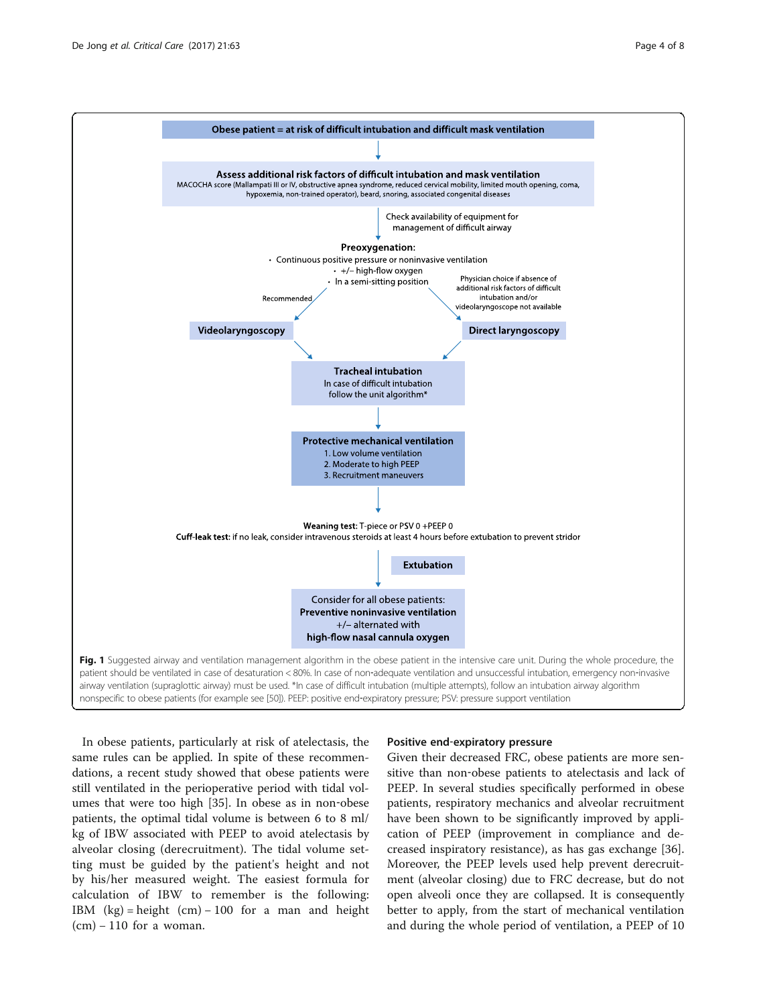<span id="page-3-0"></span>

In obese patients, particularly at risk of atelectasis, the same rules can be applied. In spite of these recommendations, a recent study showed that obese patients were still ventilated in the perioperative period with tidal volumes that were too high [[35\]](#page-7-0). In obese as in non‐obese patients, the optimal tidal volume is between 6 to 8 ml/ kg of IBW associated with PEEP to avoid atelectasis by alveolar closing (derecruitment). The tidal volume setting must be guided by the patient's height and not by his/her measured weight. The easiest formula for calculation of IBW to remember is the following: IBM  $(kg)$  = height  $(cm)$  – 100 for a man and height  $(cm) - 110$  for a woman.

# Positive end‐expiratory pressure

Given their decreased FRC, obese patients are more sensitive than non‐obese patients to atelectasis and lack of PEEP. In several studies specifically performed in obese patients, respiratory mechanics and alveolar recruitment have been shown to be significantly improved by application of PEEP (improvement in compliance and decreased inspiratory resistance), as has gas exchange [\[36](#page-7-0)]. Moreover, the PEEP levels used help prevent derecruitment (alveolar closing) due to FRC decrease, but do not open alveoli once they are collapsed. It is consequently better to apply, from the start of mechanical ventilation and during the whole period of ventilation, a PEEP of 10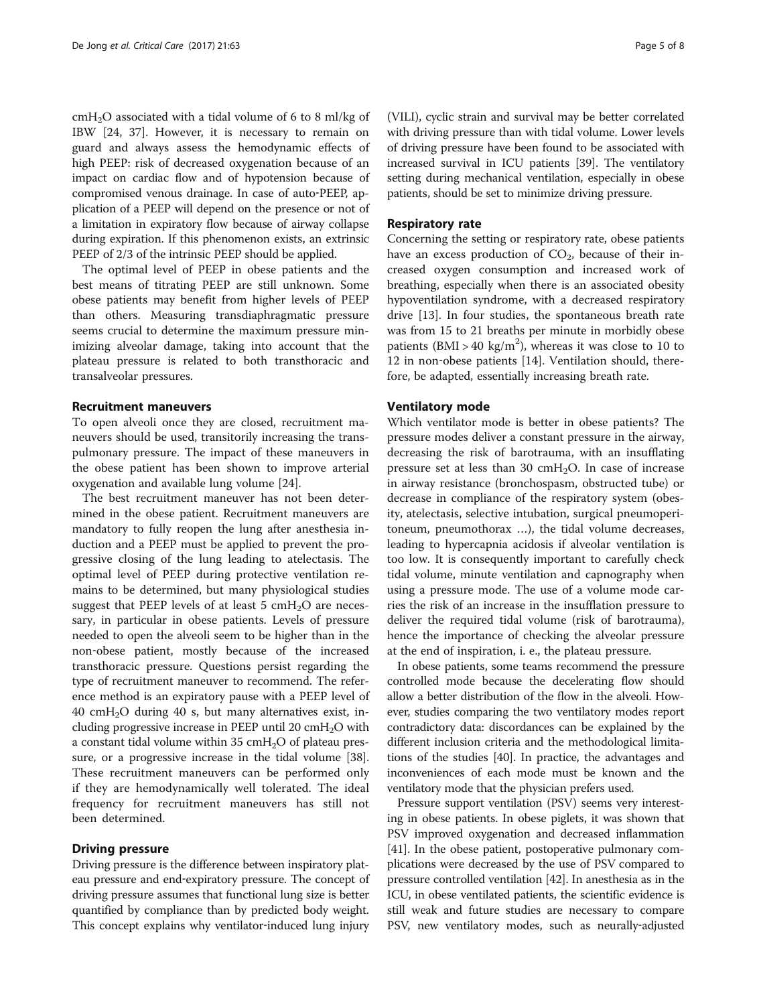$cmH<sub>2</sub>O$  associated with a tidal volume of 6 to 8 ml/kg of IBW [\[24](#page-6-0), [37](#page-7-0)]. However, it is necessary to remain on guard and always assess the hemodynamic effects of high PEEP: risk of decreased oxygenation because of an impact on cardiac flow and of hypotension because of compromised venous drainage. In case of auto‐PEEP, application of a PEEP will depend on the presence or not of a limitation in expiratory flow because of airway collapse during expiration. If this phenomenon exists, an extrinsic PEEP of 2/3 of the intrinsic PEEP should be applied.

The optimal level of PEEP in obese patients and the best means of titrating PEEP are still unknown. Some obese patients may benefit from higher levels of PEEP than others. Measuring transdiaphragmatic pressure seems crucial to determine the maximum pressure minimizing alveolar damage, taking into account that the plateau pressure is related to both transthoracic and transalveolar pressures.

#### Recruitment maneuvers

To open alveoli once they are closed, recruitment maneuvers should be used, transitorily increasing the transpulmonary pressure. The impact of these maneuvers in the obese patient has been shown to improve arterial oxygenation and available lung volume [\[24\]](#page-6-0).

The best recruitment maneuver has not been determined in the obese patient. Recruitment maneuvers are mandatory to fully reopen the lung after anesthesia induction and a PEEP must be applied to prevent the progressive closing of the lung leading to atelectasis. The optimal level of PEEP during protective ventilation remains to be determined, but many physiological studies suggest that PEEP levels of at least  $5 \text{ cm}H_2O$  are necessary, in particular in obese patients. Levels of pressure needed to open the alveoli seem to be higher than in the non‐obese patient, mostly because of the increased transthoracic pressure. Questions persist regarding the type of recruitment maneuver to recommend. The reference method is an expiratory pause with a PEEP level of 40  $\text{cm}H_2\text{O}$  during 40 s, but many alternatives exist, including progressive increase in PEEP until 20  $\text{cm}H_2\text{O}$  with a constant tidal volume within  $35 \text{ cm}H_2O$  of plateau pressure, or a progressive increase in the tidal volume [[38](#page-7-0)]. These recruitment maneuvers can be performed only if they are hemodynamically well tolerated. The ideal frequency for recruitment maneuvers has still not been determined.

#### Driving pressure

Driving pressure is the difference between inspiratory plateau pressure and end‐expiratory pressure. The concept of driving pressure assumes that functional lung size is better quantified by compliance than by predicted body weight. This concept explains why ventilator-induced lung injury (VILI), cyclic strain and survival may be better correlated with driving pressure than with tidal volume. Lower levels of driving pressure have been found to be associated with increased survival in ICU patients [[39\]](#page-7-0). The ventilatory setting during mechanical ventilation, especially in obese patients, should be set to minimize driving pressure.

# Respiratory rate

Concerning the setting or respiratory rate, obese patients have an excess production of  $CO<sub>2</sub>$ , because of their increased oxygen consumption and increased work of breathing, especially when there is an associated obesity hypoventilation syndrome, with a decreased respiratory drive [\[13](#page-6-0)]. In four studies, the spontaneous breath rate was from 15 to 21 breaths per minute in morbidly obese patients ( $BMI > 40 \text{ kg/m}^2$ ), whereas it was close to 10 to 12 in non-obese patients [[14](#page-6-0)]. Ventilation should, therefore, be adapted, essentially increasing breath rate.

# Ventilatory mode

Which ventilator mode is better in obese patients? The pressure modes deliver a constant pressure in the airway, decreasing the risk of barotrauma, with an insufflating pressure set at less than 30 cm $H_2O$ . In case of increase in airway resistance (bronchospasm, obstructed tube) or decrease in compliance of the respiratory system (obesity, atelectasis, selective intubation, surgical pneumoperitoneum, pneumothorax …), the tidal volume decreases, leading to hypercapnia acidosis if alveolar ventilation is too low. It is consequently important to carefully check tidal volume, minute ventilation and capnography when using a pressure mode. The use of a volume mode carries the risk of an increase in the insufflation pressure to deliver the required tidal volume (risk of barotrauma), hence the importance of checking the alveolar pressure at the end of inspiration, i. e., the plateau pressure.

In obese patients, some teams recommend the pressure controlled mode because the decelerating flow should allow a better distribution of the flow in the alveoli. However, studies comparing the two ventilatory modes report contradictory data: discordances can be explained by the different inclusion criteria and the methodological limitations of the studies [\[40\]](#page-7-0). In practice, the advantages and inconveniences of each mode must be known and the ventilatory mode that the physician prefers used.

Pressure support ventilation (PSV) seems very interesting in obese patients. In obese piglets, it was shown that PSV improved oxygenation and decreased inflammation [[41](#page-7-0)]. In the obese patient, postoperative pulmonary complications were decreased by the use of PSV compared to pressure controlled ventilation [[42](#page-7-0)]. In anesthesia as in the ICU, in obese ventilated patients, the scientific evidence is still weak and future studies are necessary to compare PSV, new ventilatory modes, such as neurally‐adjusted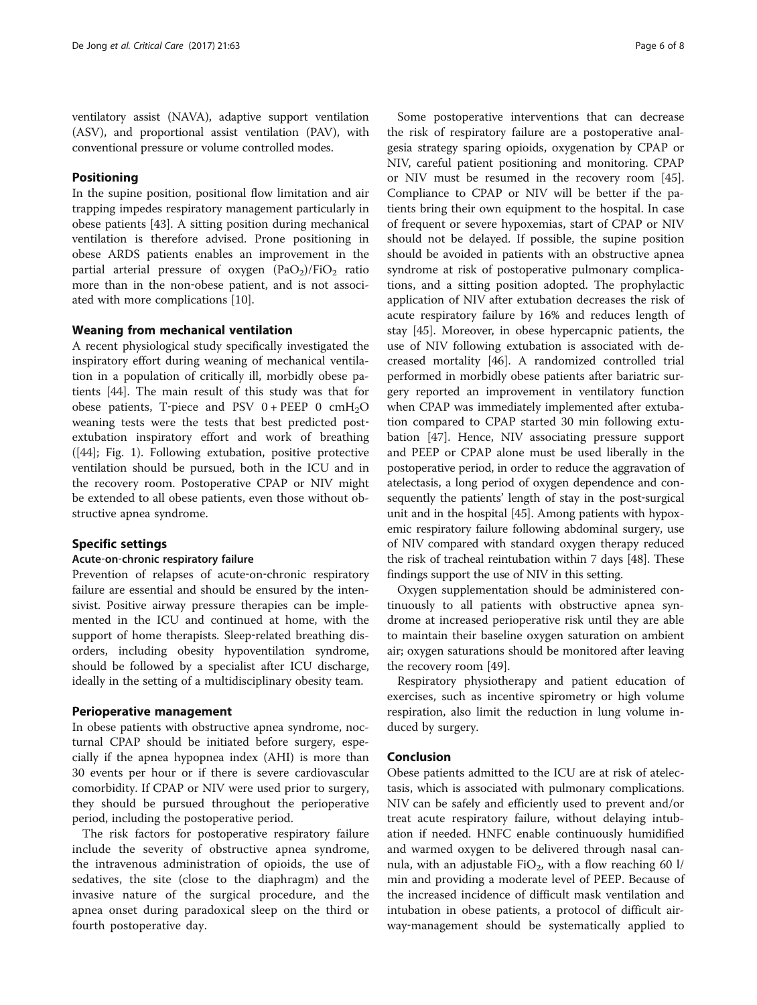ventilatory assist (NAVA), adaptive support ventilation (ASV), and proportional assist ventilation (PAV), with conventional pressure or volume controlled modes.

# Positioning

In the supine position, positional flow limitation and air trapping impedes respiratory management particularly in obese patients [\[43\]](#page-7-0). A sitting position during mechanical ventilation is therefore advised. Prone positioning in obese ARDS patients enables an improvement in the partial arterial pressure of oxygen  $(PaO<sub>2</sub>)/FiO<sub>2</sub>$  ratio more than in the non-obese patient, and is not associated with more complications [\[10\]](#page-6-0).

# Weaning from mechanical ventilation

A recent physiological study specifically investigated the inspiratory effort during weaning of mechanical ventilation in a population of critically ill, morbidly obese patients [\[44\]](#page-7-0). The main result of this study was that for obese patients, T-piece and PSV  $0 + PEEP$  0 cmH<sub>2</sub>O weaning tests were the tests that best predicted postextubation inspiratory effort and work of breathing ([\[44\]](#page-7-0); Fig. [1\)](#page-3-0). Following extubation, positive protective ventilation should be pursued, both in the ICU and in the recovery room. Postoperative CPAP or NIV might be extended to all obese patients, even those without obstructive apnea syndrome.

#### Specific settings

#### Acute‐on‐chronic respiratory failure

Prevention of relapses of acute-on-chronic respiratory failure are essential and should be ensured by the intensivist. Positive airway pressure therapies can be implemented in the ICU and continued at home, with the support of home therapists. Sleep-related breathing disorders, including obesity hypoventilation syndrome, should be followed by a specialist after ICU discharge, ideally in the setting of a multidisciplinary obesity team.

# Perioperative management

In obese patients with obstructive apnea syndrome, nocturnal CPAP should be initiated before surgery, especially if the apnea hypopnea index (AHI) is more than 30 events per hour or if there is severe cardiovascular comorbidity. If CPAP or NIV were used prior to surgery, they should be pursued throughout the perioperative period, including the postoperative period.

The risk factors for postoperative respiratory failure include the severity of obstructive apnea syndrome, the intravenous administration of opioids, the use of sedatives, the site (close to the diaphragm) and the invasive nature of the surgical procedure, and the apnea onset during paradoxical sleep on the third or fourth postoperative day.

Some postoperative interventions that can decrease the risk of respiratory failure are a postoperative analgesia strategy sparing opioids, oxygenation by CPAP or NIV, careful patient positioning and monitoring. CPAP or NIV must be resumed in the recovery room [\[45](#page-7-0)]. Compliance to CPAP or NIV will be better if the patients bring their own equipment to the hospital. In case of frequent or severe hypoxemias, start of CPAP or NIV should not be delayed. If possible, the supine position should be avoided in patients with an obstructive apnea syndrome at risk of postoperative pulmonary complications, and a sitting position adopted. The prophylactic application of NIV after extubation decreases the risk of acute respiratory failure by 16% and reduces length of stay [\[45\]](#page-7-0). Moreover, in obese hypercapnic patients, the use of NIV following extubation is associated with decreased mortality [[46\]](#page-7-0). A randomized controlled trial performed in morbidly obese patients after bariatric surgery reported an improvement in ventilatory function when CPAP was immediately implemented after extubation compared to CPAP started 30 min following extubation [\[47](#page-7-0)]. Hence, NIV associating pressure support and PEEP or CPAP alone must be used liberally in the postoperative period, in order to reduce the aggravation of atelectasis, a long period of oxygen dependence and consequently the patients' length of stay in the post-surgical unit and in the hospital [\[45\]](#page-7-0). Among patients with hypoxemic respiratory failure following abdominal surgery, use of NIV compared with standard oxygen therapy reduced the risk of tracheal reintubation within 7 days [[48](#page-7-0)]. These findings support the use of NIV in this setting.

Oxygen supplementation should be administered continuously to all patients with obstructive apnea syndrome at increased perioperative risk until they are able to maintain their baseline oxygen saturation on ambient air; oxygen saturations should be monitored after leaving the recovery room [\[49](#page-7-0)].

Respiratory physiotherapy and patient education of exercises, such as incentive spirometry or high volume respiration, also limit the reduction in lung volume induced by surgery.

# Conclusion

Obese patients admitted to the ICU are at risk of atelectasis, which is associated with pulmonary complications. NIV can be safely and efficiently used to prevent and/or treat acute respiratory failure, without delaying intubation if needed. HNFC enable continuously humidified and warmed oxygen to be delivered through nasal cannula, with an adjustable FiO<sub>2</sub>, with a flow reaching 60 l/ min and providing a moderate level of PEEP. Because of the increased incidence of difficult mask ventilation and intubation in obese patients, a protocol of difficult airway‐management should be systematically applied to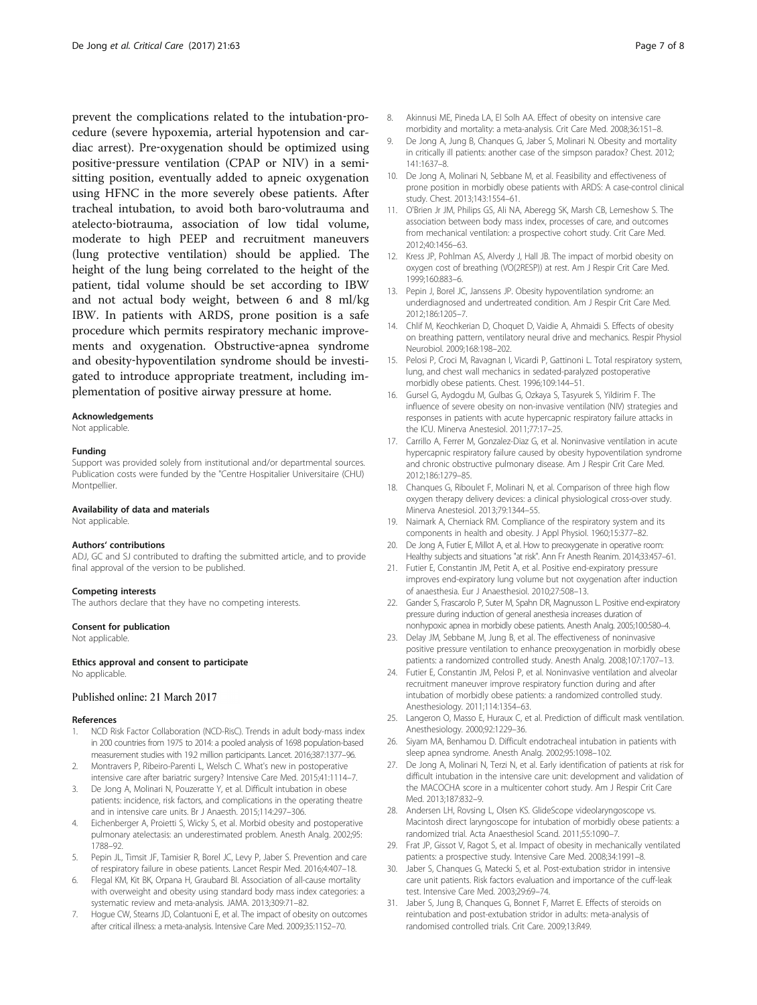<span id="page-6-0"></span>prevent the complications related to the intubation‐procedure (severe hypoxemia, arterial hypotension and cardiac arrest). Pre‐oxygenation should be optimized using positive-pressure ventilation (CPAP or NIV) in a semisitting position, eventually added to apneic oxygenation using HFNC in the more severely obese patients. After tracheal intubation, to avoid both baro‐volutrauma and atelecto‐biotrauma, association of low tidal volume, moderate to high PEEP and recruitment maneuvers (lung protective ventilation) should be applied. The height of the lung being correlated to the height of the patient, tidal volume should be set according to IBW and not actual body weight, between 6 and 8 ml/kg IBW. In patients with ARDS, prone position is a safe procedure which permits respiratory mechanic improvements and oxygenation. Obstructive‐apnea syndrome and obesity‐hypoventilation syndrome should be investigated to introduce appropriate treatment, including implementation of positive airway pressure at home.

### Acknowledgements

Not applicable.

#### Funding

Support was provided solely from institutional and/or departmental sources. Publication costs were funded by the "Centre Hospitalier Universitaire (CHU) Montpellier.

#### Availability of data and materials

Not applicable.

#### Authors' contributions

ADJ, GC and SJ contributed to drafting the submitted article, and to provide final approval of the version to be published.

#### Competing interests

The authors declare that they have no competing interests.

#### Consent for publication

Not applicable.

Ethics approval and consent to participate No applicable.

### Published online: 21 March 2017

#### References

- 1. NCD Risk Factor Collaboration (NCD-RisC). Trends in adult body-mass index in 200 countries from 1975 to 2014: a pooled analysis of 1698 population-based measurement studies with 19.2 million participants. Lancet. 2016;387:1377–96.
- 2. Montravers P, Ribeiro-Parenti L, Welsch C. What's new in postoperative intensive care after bariatric surgery? Intensive Care Med. 2015;41:1114–7.
- 3. De Jong A, Molinari N, Pouzeratte Y, et al. Difficult intubation in obese patients: incidence, risk factors, and complications in the operating theatre and in intensive care units. Br J Anaesth. 2015;114:297–306.
- 4. Eichenberger A, Proietti S, Wicky S, et al. Morbid obesity and postoperative pulmonary atelectasis: an underestimated problem. Anesth Analg. 2002;95: 1788–92.
- 5. Pepin JL, Timsit JF, Tamisier R, Borel JC, Levy P, Jaber S. Prevention and care of respiratory failure in obese patients. Lancet Respir Med. 2016;4:407–18.
- 6. Flegal KM, Kit BK, Orpana H, Graubard BI. Association of all-cause mortality with overweight and obesity using standard body mass index categories: a systematic review and meta-analysis. JAMA. 2013;309:71–82.
- 7. Hogue CW, Stearns JD, Colantuoni E, et al. The impact of obesity on outcomes after critical illness: a meta-analysis. Intensive Care Med. 2009;35:1152–70.
- 8. Akinnusi ME, Pineda LA, El Solh AA. Effect of obesity on intensive care morbidity and mortality: a meta-analysis. Crit Care Med. 2008;36:151–8.
- 9. De Jong A, Jung B, Chanques G, Jaber S, Molinari N. Obesity and mortality in critically ill patients: another case of the simpson paradox? Chest. 2012; 141:1637–8.
- 10. De Jong A, Molinari N, Sebbane M, et al. Feasibility and effectiveness of prone position in morbidly obese patients with ARDS: A case-control clinical study. Chest. 2013;143:1554–61.
- 11. O'Brien Jr JM, Philips GS, Ali NA, Aberegg SK, Marsh CB, Lemeshow S. The association between body mass index, processes of care, and outcomes from mechanical ventilation: a prospective cohort study. Crit Care Med. 2012;40:1456–63.
- 12. Kress JP, Pohlman AS, Alverdy J, Hall JB. The impact of morbid obesity on oxygen cost of breathing (VO(2RESP)) at rest. Am J Respir Crit Care Med. 1999;160:883–6.
- 13. Pepin J, Borel JC, Janssens JP. Obesity hypoventilation syndrome: an underdiagnosed and undertreated condition. Am J Respir Crit Care Med. 2012;186:1205–7.
- 14. Chlif M, Keochkerian D, Choquet D, Vaidie A, Ahmaidi S. Effects of obesity on breathing pattern, ventilatory neural drive and mechanics. Respir Physiol Neurobiol. 2009;168:198–202.
- 15. Pelosi P, Croci M, Ravagnan I, Vicardi P, Gattinoni L. Total respiratory system, lung, and chest wall mechanics in sedated-paralyzed postoperative morbidly obese patients. Chest. 1996;109:144–51.
- 16. Gursel G, Aydogdu M, Gulbas G, Ozkaya S, Tasyurek S, Yildirim F. The influence of severe obesity on non-invasive ventilation (NIV) strategies and responses in patients with acute hypercapnic respiratory failure attacks in the ICU. Minerva Anestesiol. 2011;77:17–25.
- 17. Carrillo A, Ferrer M, Gonzalez-Diaz G, et al. Noninvasive ventilation in acute hypercapnic respiratory failure caused by obesity hypoventilation syndrome and chronic obstructive pulmonary disease. Am J Respir Crit Care Med. 2012;186:1279–85.
- 18. Chanques G, Riboulet F, Molinari N, et al. Comparison of three high flow oxygen therapy delivery devices: a clinical physiological cross-over study. Minerva Anestesiol. 2013;79:1344–55.
- 19. Naimark A, Cherniack RM. Compliance of the respiratory system and its components in health and obesity. J Appl Physiol. 1960;15:377–82.
- 20. De Jong A, Futier E, Millot A, et al. How to preoxygenate in operative room: Healthy subjects and situations "at risk". Ann Fr Anesth Reanim. 2014;33:457–61.
- 21. Futier E, Constantin JM, Petit A, et al. Positive end-expiratory pressure improves end-expiratory lung volume but not oxygenation after induction of anaesthesia. Eur J Anaesthesiol. 2010;27:508–13.
- 22. Gander S, Frascarolo P, Suter M, Spahn DR, Magnusson L. Positive end-expiratory pressure during induction of general anesthesia increases duration of nonhypoxic apnea in morbidly obese patients. Anesth Analg. 2005;100:580–4.
- 23. Delay JM, Sebbane M, Jung B, et al. The effectiveness of noninvasive positive pressure ventilation to enhance preoxygenation in morbidly obese patients: a randomized controlled study. Anesth Analg. 2008;107:1707–13.
- 24. Futier E, Constantin JM, Pelosi P, et al. Noninvasive ventilation and alveolar recruitment maneuver improve respiratory function during and after intubation of morbidly obese patients: a randomized controlled study. Anesthesiology. 2011;114:1354–63.
- 25. Langeron O, Masso E, Huraux C, et al. Prediction of difficult mask ventilation. Anesthesiology. 2000;92:1229–36.
- 26. Siyam MA, Benhamou D. Difficult endotracheal intubation in patients with sleep apnea syndrome. Anesth Analg. 2002;95:1098–102.
- 27. De Jong A, Molinari N, Terzi N, et al. Early identification of patients at risk for difficult intubation in the intensive care unit: development and validation of the MACOCHA score in a multicenter cohort study. Am J Respir Crit Care Med. 2013;187:832–9.
- 28. Andersen LH, Rovsing L, Olsen KS. GlideScope videolaryngoscope vs. Macintosh direct laryngoscope for intubation of morbidly obese patients: a randomized trial. Acta Anaesthesiol Scand. 2011;55:1090–7.
- 29. Frat JP, Gissot V, Ragot S, et al. Impact of obesity in mechanically ventilated patients: a prospective study. Intensive Care Med. 2008;34:1991–8.
- 30. Jaber S, Chanques G, Matecki S, et al. Post-extubation stridor in intensive care unit patients. Risk factors evaluation and importance of the cuff-leak test. Intensive Care Med. 2003;29:69–74.
- 31. Jaber S, Jung B, Chanques G, Bonnet F, Marret E. Effects of steroids on reintubation and post-extubation stridor in adults: meta-analysis of randomised controlled trials. Crit Care. 2009;13:R49.